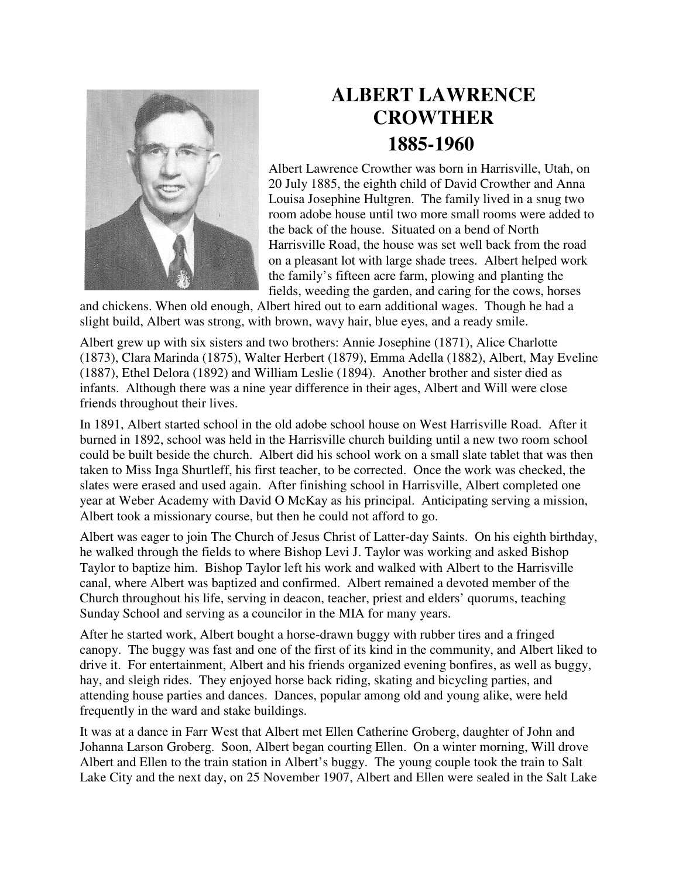

## **ALBERT LAWRENCE CROWTHER 1885-1960**

Albert Lawrence Crowther was born in Harrisville, Utah, on 20 July 1885, the eighth child of David Crowther and Anna Louisa Josephine Hultgren. The family lived in a snug two room adobe house until two more small rooms were added to the back of the house. Situated on a bend of North Harrisville Road, the house was set well back from the road on a pleasant lot with large shade trees. Albert helped work the family's fifteen acre farm, plowing and planting the fields, weeding the garden, and caring for the cows, horses

and chickens. When old enough, Albert hired out to earn additional wages. Though he had a slight build, Albert was strong, with brown, wavy hair, blue eyes, and a ready smile.

Albert grew up with six sisters and two brothers: Annie Josephine (1871), Alice Charlotte (1873), Clara Marinda (1875), Walter Herbert (1879), Emma Adella (1882), Albert, May Eveline (1887), Ethel Delora (1892) and William Leslie (1894). Another brother and sister died as infants. Although there was a nine year difference in their ages, Albert and Will were close friends throughout their lives.

In 1891, Albert started school in the old adobe school house on West Harrisville Road. After it burned in 1892, school was held in the Harrisville church building until a new two room school could be built beside the church. Albert did his school work on a small slate tablet that was then taken to Miss Inga Shurtleff, his first teacher, to be corrected. Once the work was checked, the slates were erased and used again. After finishing school in Harrisville, Albert completed one year at Weber Academy with David O McKay as his principal. Anticipating serving a mission, Albert took a missionary course, but then he could not afford to go.

Albert was eager to join The Church of Jesus Christ of Latter-day Saints. On his eighth birthday, he walked through the fields to where Bishop Levi J. Taylor was working and asked Bishop Taylor to baptize him. Bishop Taylor left his work and walked with Albert to the Harrisville canal, where Albert was baptized and confirmed. Albert remained a devoted member of the Church throughout his life, serving in deacon, teacher, priest and elders' quorums, teaching Sunday School and serving as a councilor in the MIA for many years.

After he started work, Albert bought a horse-drawn buggy with rubber tires and a fringed canopy. The buggy was fast and one of the first of its kind in the community, and Albert liked to drive it. For entertainment, Albert and his friends organized evening bonfires, as well as buggy, hay, and sleigh rides. They enjoyed horse back riding, skating and bicycling parties, and attending house parties and dances. Dances, popular among old and young alike, were held frequently in the ward and stake buildings.

It was at a dance in Farr West that Albert met Ellen Catherine Groberg, daughter of John and Johanna Larson Groberg. Soon, Albert began courting Ellen. On a winter morning, Will drove Albert and Ellen to the train station in Albert's buggy. The young couple took the train to Salt Lake City and the next day, on 25 November 1907, Albert and Ellen were sealed in the Salt Lake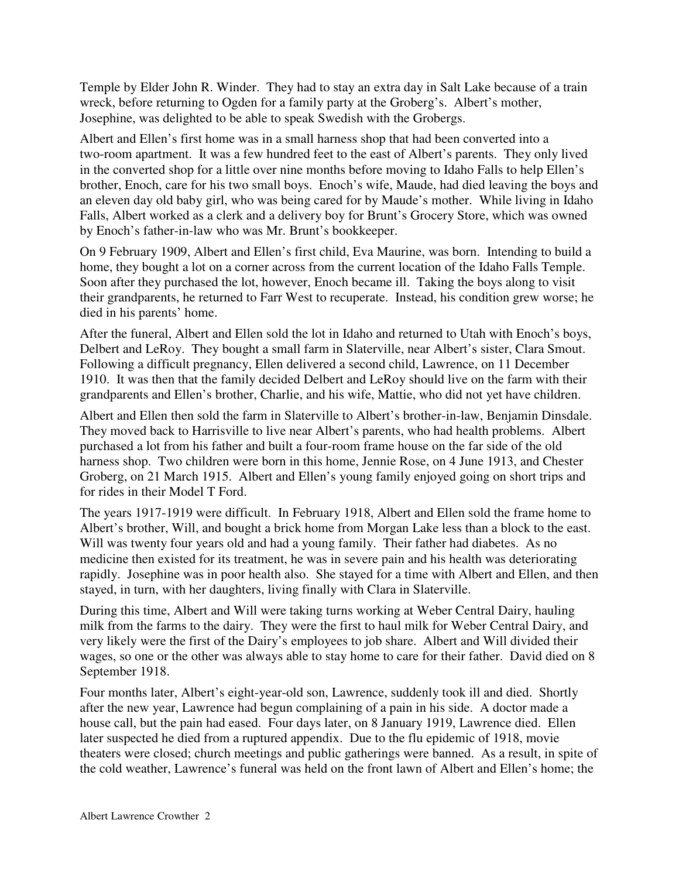Temple by Elder John R. Winder. They had to stay an extra day in Salt Lake because of a train wreck, before returning to Ogden for a family party at the Groberg's. Albert's mother, Josephine, was delighted to be able to speak Swedish with the Grobergs.

Albert and Ellen's first home was in a small harness shop that had been converted into a two-room apartment. It was a few hundred feet to the east of Albert's parents. They only lived in the converted shop for a little over nine months before moving to Idaho Falls to help Ellen's brother, Enoch, care for his two small boys. Enoch's wife, Maude, had died leaving the boys and an eleven day old baby girl, who was being cared for by Maude's mother. While living in Idaho Falls, Albert worked as a clerk and a delivery boy for Brunt's Grocery Store, which was owned by Enoch's father-in-law who was Mr. Brunt's bookkeeper.

On 9 February 1909, Albert and Ellen's first child, Eva Maurine, was born. Intending to build a home, they bought a lot on a corner across from the current location of the Idaho Falls Temple. Soon after they purchased the lot, however, Enoch became ill. Taking the boys along to visit their grandparents, he returned to Farr West to recuperate. Instead, his condition grew worse; he died in his parents' home.

After the funeral, Albert and Ellen sold the lot in Idaho and returned to Utah with Enoch's boys, Delbert and LeRoy. They bought a small farm in Slaterville, near Albert's sister, Clara Smout. Following a difficult pregnancy, Ellen delivered a second child, Lawrence, on 11 December 1910. It was then that the family decided Delbert and LeRoy should live on the farm with their grandparents and Ellen's brother, Charlie, and his wife, Mattie, who did not yet have children.

Albert and Ellen then sold the farm in Slaterville to Albert's brother-in-law, Benjamin Dinsdale. They moved back to Harrisville to live near Albert's parents, who had health problems. Albert purchased a lot from his father and built a four-room frame house on the far side of the old harness shop. Two children were born in this home, Jennie Rose, on 4 June 1913, and Chester Groberg, on 21 March 1915. Albert and Ellen's young family enjoyed going on short trips and for rides in their Model T Ford.

The years 1917-1919 were difficult. In February 1918, Albert and Ellen sold the frame home to Albert's brother, Will, and bought a brick home from Morgan Lake less than a block to the east. Will was twenty four years old and had a young family. Their father had diabetes. As no medicine then existed for its treatment, he was in severe pain and his health was deteriorating rapidly. Josephine was in poor health also. She stayed for a time with Albert and Ellen, and then stayed, in turn, with her daughters, living finally with Clara in Slaterville.

During this time, Albert and Will were taking turns working at Weber Central Dairy, hauling milk from the farms to the dairy. They were the first to haul milk for Weber Central Dairy, and very likely were the first of the Dairy's employees to job share. Albert and Will divided their wages, so one or the other was always able to stay home to care for their father. David died on 8 September 1918.

Four months later, Albert's eight-year-old son, Lawrence, suddenly took ill and died. Shortly after the new year, Lawrence had begun complaining of a pain in his side. A doctor made a house call, but the pain had eased. Four days later, on 8 January 1919, Lawrence died. Ellen later suspected he died from a ruptured appendix. Due to the flu epidemic of 1918, movie theaters were closed; church meetings and public gatherings were banned. As a result, in spite of the cold weather, Lawrence's funeral was held on the front lawn of Albert and Ellen's home; the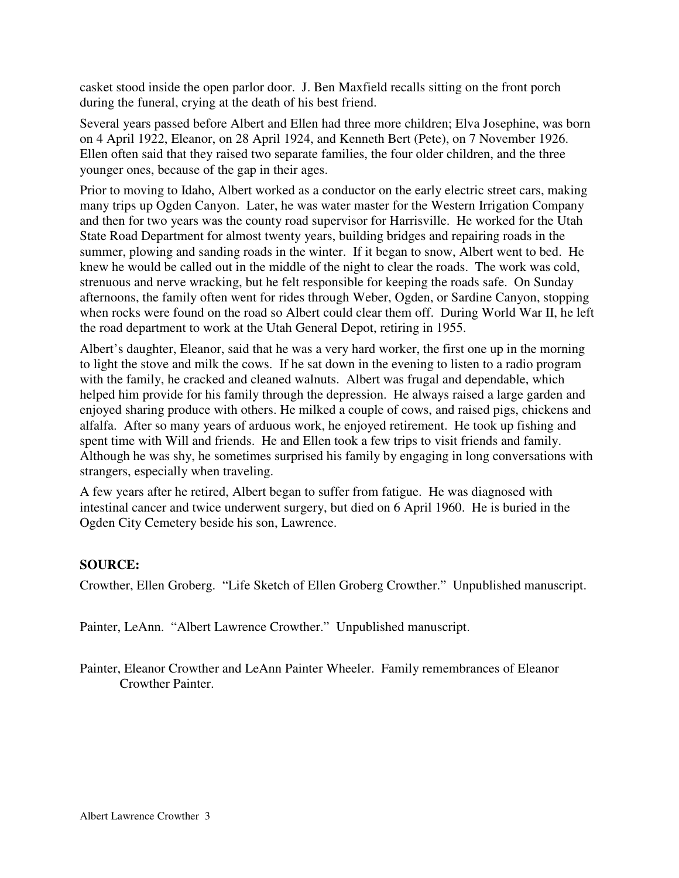casket stood inside the open parlor door. J. Ben Maxfield recalls sitting on the front porch during the funeral, crying at the death of his best friend.

Several years passed before Albert and Ellen had three more children; Elva Josephine, was born on 4 April 1922, Eleanor, on 28 April 1924, and Kenneth Bert (Pete), on 7 November 1926. Ellen often said that they raised two separate families, the four older children, and the three younger ones, because of the gap in their ages.

Prior to moving to Idaho, Albert worked as a conductor on the early electric street cars, making many trips up Ogden Canyon. Later, he was water master for the Western Irrigation Company and then for two years was the county road supervisor for Harrisville. He worked for the Utah State Road Department for almost twenty years, building bridges and repairing roads in the summer, plowing and sanding roads in the winter. If it began to snow, Albert went to bed. He knew he would be called out in the middle of the night to clear the roads. The work was cold, strenuous and nerve wracking, but he felt responsible for keeping the roads safe. On Sunday afternoons, the family often went for rides through Weber, Ogden, or Sardine Canyon, stopping when rocks were found on the road so Albert could clear them off. During World War II, he left the road department to work at the Utah General Depot, retiring in 1955.

Albert's daughter, Eleanor, said that he was a very hard worker, the first one up in the morning to light the stove and milk the cows. If he sat down in the evening to listen to a radio program with the family, he cracked and cleaned walnuts. Albert was frugal and dependable, which helped him provide for his family through the depression. He always raised a large garden and enjoyed sharing produce with others. He milked a couple of cows, and raised pigs, chickens and alfalfa. After so many years of arduous work, he enjoyed retirement. He took up fishing and spent time with Will and friends. He and Ellen took a few trips to visit friends and family. Although he was shy, he sometimes surprised his family by engaging in long conversations with strangers, especially when traveling.

A few years after he retired, Albert began to suffer from fatigue. He was diagnosed with intestinal cancer and twice underwent surgery, but died on 6 April 1960. He is buried in the Ogden City Cemetery beside his son, Lawrence.

## **SOURCE:**

Crowther, Ellen Groberg. "Life Sketch of Ellen Groberg Crowther." Unpublished manuscript.

Painter, LeAnn. "Albert Lawrence Crowther." Unpublished manuscript.

Painter, Eleanor Crowther and LeAnn Painter Wheeler. Family remembrances of Eleanor Crowther Painter.